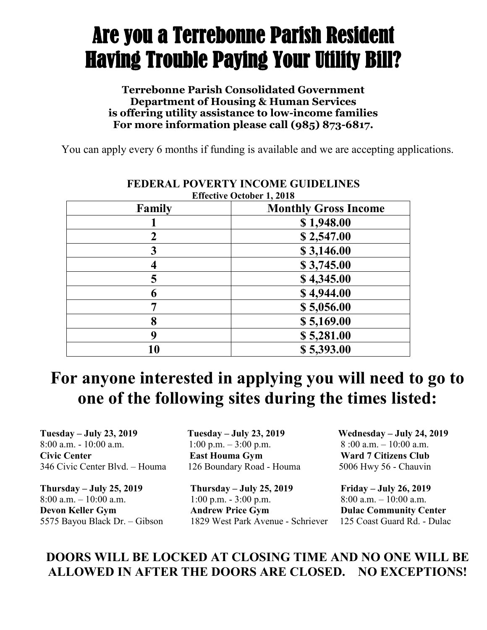# Are you a Terrebonne Parish Resident Having Trouble Paying Your Utility Bill?

#### **Terrebonne Parish Consolidated Government Department of Housing & Human Services is offering utility assistance to low-income families For more information please call (985) 873-6817.**

You can apply every 6 months if funding is available and we are accepting applications.

| <b>Effective October 1, 2018</b> |                             |
|----------------------------------|-----------------------------|
| Family                           | <b>Monthly Gross Income</b> |
|                                  | \$1,948.00                  |
| $\overline{2}$                   | \$2,547.00                  |
| 3                                | \$3,146.00                  |
|                                  | \$3,745.00                  |
| 5                                | \$4,345.00                  |
| 6                                | \$4,944.00                  |
|                                  | \$5,056.00                  |
| 8                                | \$5,169.00                  |
| 9                                | \$5,281.00                  |
| 10                               | \$5,393.00                  |

### **FEDERAL POVERTY INCOME GUIDELINES**

## **For anyone interested in applying you will need to go to one of the following sites during the times listed:**

**Tuesday – July 23, 2019 Tuesday – July 23, 2019 Wednesday – July 24, 2019** 8:00 a.m. - 10:00 a.m. **1:00 p.m.** - 3:00 p.m. 8:00 a.m. - 10:00 a.m. **Civic Center East Houma Gym Ward 7 Citizens Club** 346 Civic Center Blvd. – Houma 126 Boundary Road - Houma 5006 Hwy 56 - Chauvin

**Thursday – July 25, 2019 Thursday – July 25, 2019 Friday – July 26, 2019**  8:00 a.m. – 10:00 a.m. 1:00 p.m. - 3:00 p.m. 8:00 a.m. – 10:00 a.m. **Devon Keller Gym Andrew Price Gym Dulac Community Center** 5575 Bayou Black Dr. – Gibson 1829 West Park Avenue - Schriever 125 Coast Guard Rd. - Dulac

#### **DOORS WILL BE LOCKED AT CLOSING TIME AND NO ONE WILL BE ALLOWED IN AFTER THE DOORS ARE CLOSED. NO EXCEPTIONS!**